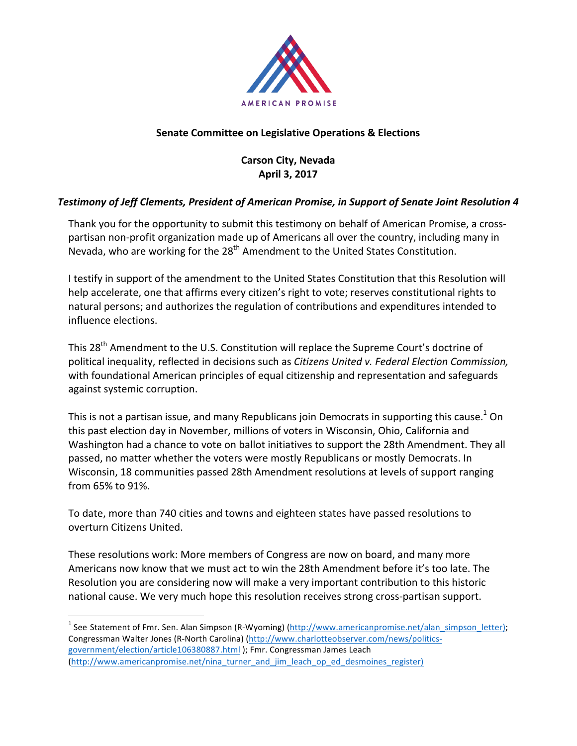

## **Senate Committee on Legislative Operations & Elections**

# **Carson City, Nevada April 3, 2017**

### **Testimony of Jeff Clements, President of American Promise, in Support of Senate Joint Resolution 4**

Thank you for the opportunity to submit this testimony on behalf of American Promise, a crosspartisan non-profit organization made up of Americans all over the country, including many in Nevada, who are working for the  $28<sup>th</sup>$  Amendment to the United States Constitution.

I testify in support of the amendment to the United States Constitution that this Resolution will help accelerate, one that affirms every citizen's right to vote; reserves constitutional rights to natural persons; and authorizes the regulation of contributions and expenditures intended to influence elections.

This 28<sup>th</sup> Amendment to the U.S. Constitution will replace the Supreme Court's doctrine of political inequality, reflected in decisions such as *Citizens United v. Federal Election Commission*, with foundational American principles of equal citizenship and representation and safeguards against systemic corruption.

This is not a partisan issue, and many Republicans join Democrats in supporting this cause.<sup>1</sup> On this past election day in November, millions of voters in Wisconsin, Ohio, California and Washington had a chance to vote on ballot initiatives to support the 28th Amendment. They all passed, no matter whether the voters were mostly Republicans or mostly Democrats. In Wisconsin, 18 communities passed 28th Amendment resolutions at levels of support ranging from 65% to 91%.

To date, more than 740 cities and towns and eighteen states have passed resolutions to overturn Citizens United. 

These resolutions work: More members of Congress are now on board, and many more Americans now know that we must act to win the 28th Amendment before it's too late. The Resolution you are considering now will make a very important contribution to this historic national cause. We very much hope this resolution receives strong cross-partisan support.

<sup>&</sup>lt;sup>1</sup> See Statement of Fmr. Sen. Alan Simpson (R-Wyoming) (http://www.americanpromise.net/alan\_simpson\_letter); Congressman Walter Jones (R-North Carolina) (http://www.charlotteobserver.com/news/politicsgovernment/election/article106380887.html ); Fmr. Congressman James Leach (http://www.americanpromise.net/nina\_turner\_and\_jim\_leach\_op\_ed\_desmoines\_register)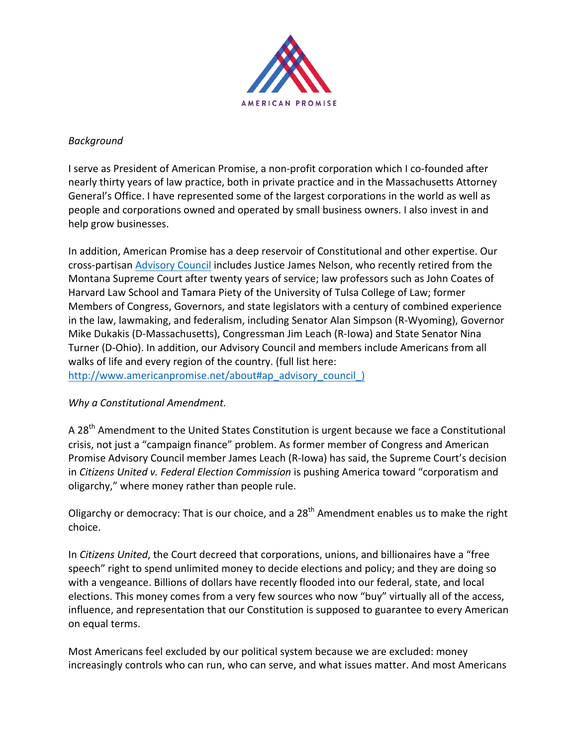

#### *Background*

I serve as President of American Promise, a non-profit corporation which I co-founded after nearly thirty years of law practice, both in private practice and in the Massachusetts Attorney General's Office. I have represented some of the largest corporations in the world as well as people and corporations owned and operated by small business owners. I also invest in and help grow businesses.

In addition, American Promise has a deep reservoir of Constitutional and other expertise. Our cross-partisan Advisory Council includes Justice James Nelson, who recently retired from the Montana Supreme Court after twenty years of service; law professors such as John Coates of Harvard Law School and Tamara Piety of the University of Tulsa College of Law; former Members of Congress, Governors, and state legislators with a century of combined experience in the law, lawmaking, and federalism, including Senator Alan Simpson (R-Wyoming), Governor Mike Dukakis (D-Massachusetts), Congressman Jim Leach (R-Iowa) and State Senator Nina Turner (D-Ohio). In addition, our Advisory Council and members include Americans from all walks of life and every region of the country. (full list here: http://www.americanpromise.net/about#ap\_advisory\_council\_)

#### **Why a Constitutional Amendment.**

A 28<sup>th</sup> Amendment to the United States Constitution is urgent because we face a Constitutional crisis, not just a "campaign finance" problem. As former member of Congress and American Promise Advisory Council member James Leach (R-Iowa) has said, the Supreme Court's decision in *Citizens United v. Federal Election Commission* is pushing America toward "corporatism and oligarchy," where money rather than people rule.

Oligarchy or democracy: That is our choice, and a  $28<sup>th</sup>$  Amendment enables us to make the right choice.

In *Citizens United*, the Court decreed that corporations, unions, and billionaires have a "free speech" right to spend unlimited money to decide elections and policy; and they are doing so with a vengeance. Billions of dollars have recently flooded into our federal, state, and local elections. This money comes from a very few sources who now "buy" virtually all of the access, influence, and representation that our Constitution is supposed to guarantee to every American on equal terms.

Most Americans feel excluded by our political system because we are excluded: money increasingly controls who can run, who can serve, and what issues matter. And most Americans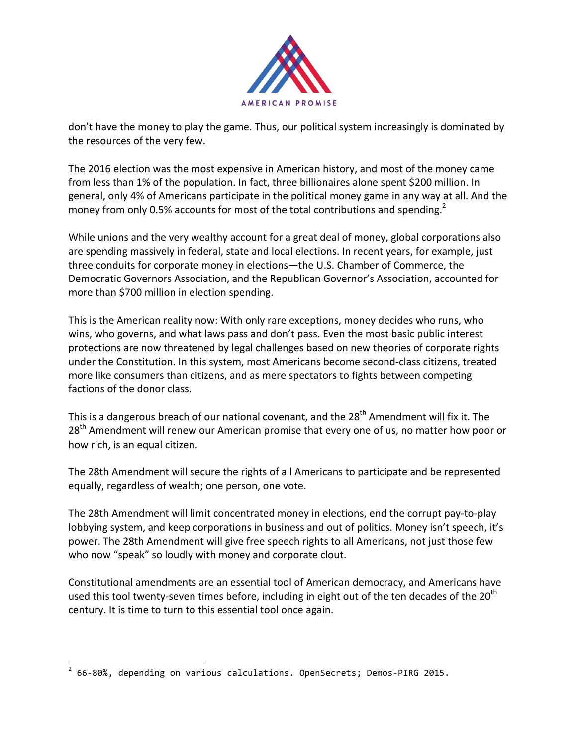

don't have the money to play the game. Thus, our political system increasingly is dominated by the resources of the very few.

The 2016 election was the most expensive in American history, and most of the money came from less than 1% of the population. In fact, three billionaires alone spent \$200 million. In general, only 4% of Americans participate in the political money game in any way at all. And the money from only 0.5% accounts for most of the total contributions and spending.<sup>2</sup>

While unions and the very wealthy account for a great deal of money, global corporations also are spending massively in federal, state and local elections. In recent years, for example, just three conduits for corporate money in elections—the U.S. Chamber of Commerce, the Democratic Governors Association, and the Republican Governor's Association, accounted for more than \$700 million in election spending.

This is the American reality now: With only rare exceptions, money decides who runs, who wins, who governs, and what laws pass and don't pass. Even the most basic public interest protections are now threatened by legal challenges based on new theories of corporate rights under the Constitution. In this system, most Americans become second-class citizens, treated more like consumers than citizens, and as mere spectators to fights between competing factions of the donor class.

This is a dangerous breach of our national covenant, and the  $28<sup>th</sup>$  Amendment will fix it. The 28<sup>th</sup> Amendment will renew our American promise that every one of us, no matter how poor or how rich, is an equal citizen.

The 28th Amendment will secure the rights of all Americans to participate and be represented equally, regardless of wealth; one person, one vote.

The 28th Amendment will limit concentrated money in elections, end the corrupt pay-to-play lobbying system, and keep corporations in business and out of politics. Money isn't speech, it's power. The 28th Amendment will give free speech rights to all Americans, not just those few who now "speak" so loudly with money and corporate clout.

Constitutional amendments are an essential tool of American democracy, and Americans have used this tool twenty-seven times before, including in eight out of the ten decades of the  $20<sup>th</sup>$ century. It is time to turn to this essential tool once again.

 $2$  66-80%, depending on various calculations. OpenSecrets; Demos-PIRG 2015.